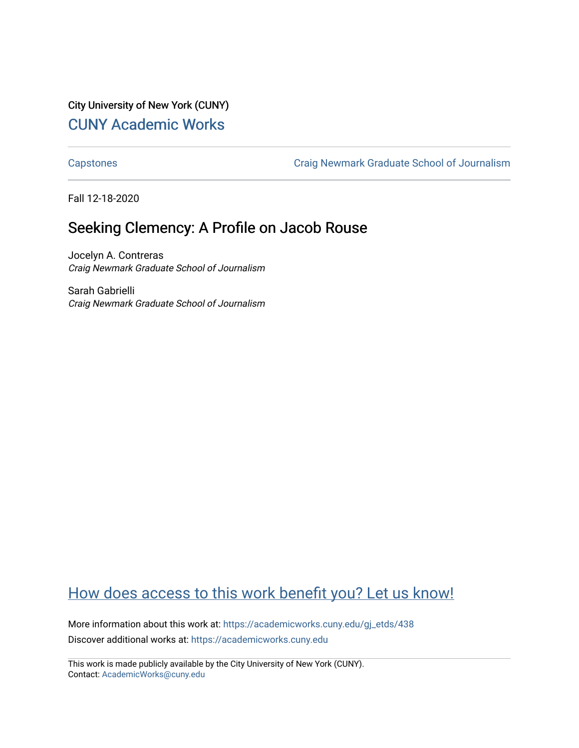City University of New York (CUNY) [CUNY Academic Works](https://academicworks.cuny.edu/) 

[Capstones](https://academicworks.cuny.edu/gj_etds) [Craig Newmark Graduate School of Journalism](https://academicworks.cuny.edu/gj) 

Fall 12-18-2020

## Seeking Clemency: A Profile on Jacob Rouse

Jocelyn A. Contreras Craig Newmark Graduate School of Journalism

Sarah Gabrielli Craig Newmark Graduate School of Journalism

## [How does access to this work benefit you? Let us know!](http://ols.cuny.edu/academicworks/?ref=https://academicworks.cuny.edu/gj_etds/438)

More information about this work at: [https://academicworks.cuny.edu/gj\\_etds/438](https://academicworks.cuny.edu/gj_etds/438)  Discover additional works at: [https://academicworks.cuny.edu](https://academicworks.cuny.edu/?)

This work is made publicly available by the City University of New York (CUNY). Contact: [AcademicWorks@cuny.edu](mailto:AcademicWorks@cuny.edu)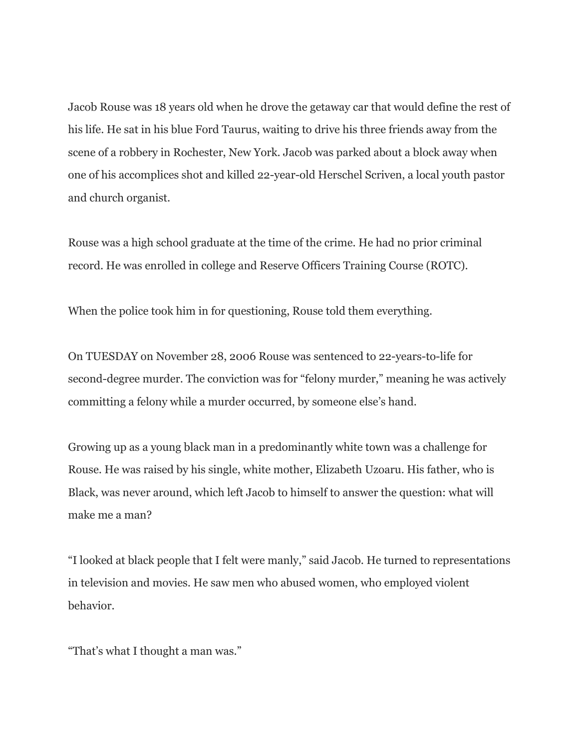Jacob Rouse was 18 years old when he drove the getaway car that would define the rest of his life. He sat in his blue Ford Taurus, waiting to drive his three friends away from the scene of a robbery in Rochester, New York. Jacob was parked about a block away when one of his accomplices shot and killed 22-year-old Herschel Scriven, a local youth pastor and church organist.

Rouse was a high school graduate at the time of the crime. He had no prior criminal record. He was enrolled in college and Reserve Officers Training Course (ROTC).

When the police took him in for questioning, Rouse told them everything.

On TUESDAY on November 28, 2006 Rouse was sentenced to 22-years-to-life for second-degree murder. The conviction was for "felony murder," meaning he was actively committing a felony while a murder occurred, by someone else's hand.

Growing up as a young black man in a predominantly white town was a challenge for Rouse. He was raised by his single, white mother, Elizabeth Uzoaru. His father, who is Black, was never around, which left Jacob to himself to answer the question: what will make me a man?

"I looked at black people that I felt were manly," said Jacob. He turned to representations in television and movies. He saw men who abused women, who employed violent behavior.

"That's what I thought a man was."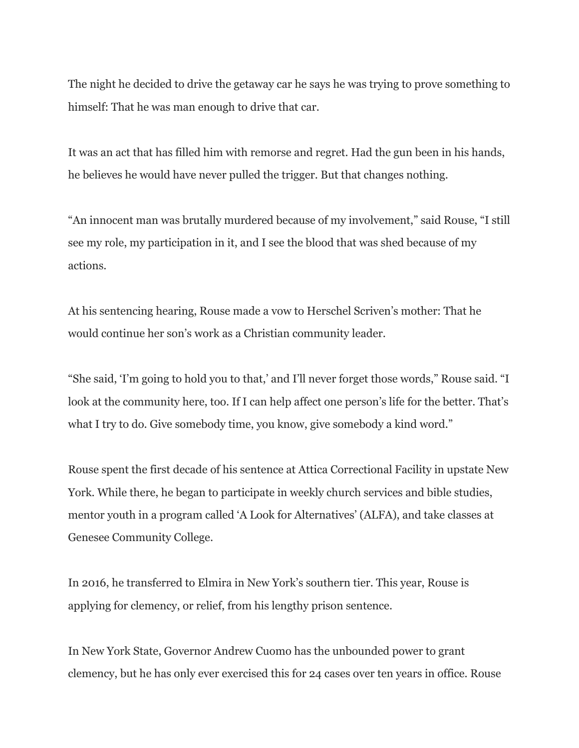The night he decided to drive the getaway car he says he was trying to prove something to himself: That he was man enough to drive that car.

It was an act that has filled him with remorse and regret. Had the gun been in his hands, he believes he would have never pulled the trigger. But that changes nothing.

"An innocent man was brutally murdered because of my involvement," said Rouse, "I still see my role, my participation in it, and I see the blood that was shed because of my actions.

At his sentencing hearing, Rouse made a vow to Herschel Scriven's mother: That he would continue her son's work as a Christian community leader.

"She said, 'I'm going to hold you to that,' and I'll never forget those words," Rouse said. "I look at the community here, too. If I can help affect one person's life for the better. That's what I try to do. Give somebody time, you know, give somebody a kind word."

Rouse spent the first decade of his sentence at Attica Correctional Facility in upstate New York. While there, he began to participate in weekly church services and bible studies, mentor youth in a program called 'A Look for Alternatives' (ALFA), and take classes at Genesee Community College.

In 2016, he transferred to Elmira in New York's southern tier. This year, Rouse is applying for clemency, or relief, from his lengthy prison sentence.

In New York State, Governor Andrew Cuomo has the unbounded power to grant clemency, but he has only ever exercised this for 24 cases over ten years in office. Rouse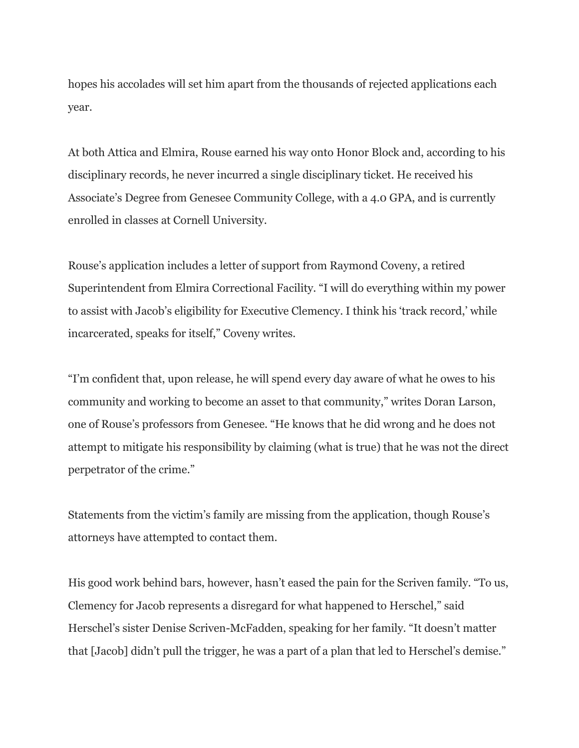hopes his accolades will set him apart from the thousands of rejected applications each year.

At both Attica and Elmira, Rouse earned his way onto Honor Block and, according to his disciplinary records, he never incurred a single disciplinary ticket. He received his Associate's Degree from Genesee Community College, with a 4.0 GPA, and is currently enrolled in classes at Cornell University.

Rouse's application includes a letter of support from Raymond Coveny, a retired Superintendent from Elmira Correctional Facility. "I will do everything within my power to assist with Jacob's eligibility for Executive Clemency. I think his 'track record,' while incarcerated, speaks for itself," Coveny writes.

"I'm confident that, upon release, he will spend every day aware of what he owes to his community and working to become an asset to that community," writes Doran Larson, one of Rouse's professors from Genesee. "He knows that he did wrong and he does not attempt to mitigate his responsibility by claiming (what is true) that he was not the direct perpetrator of the crime."

Statements from the victim's family are missing from the application, though Rouse's attorneys have attempted to contact them.

His good work behind bars, however, hasn't eased the pain for the Scriven family. "To us, Clemency for Jacob represents a disregard for what happened to Herschel," said Herschel's sister Denise Scriven-McFadden, speaking for her family. "It doesn't matter that [Jacob] didn't pull the trigger, he was a part of a plan that led to Herschel's demise."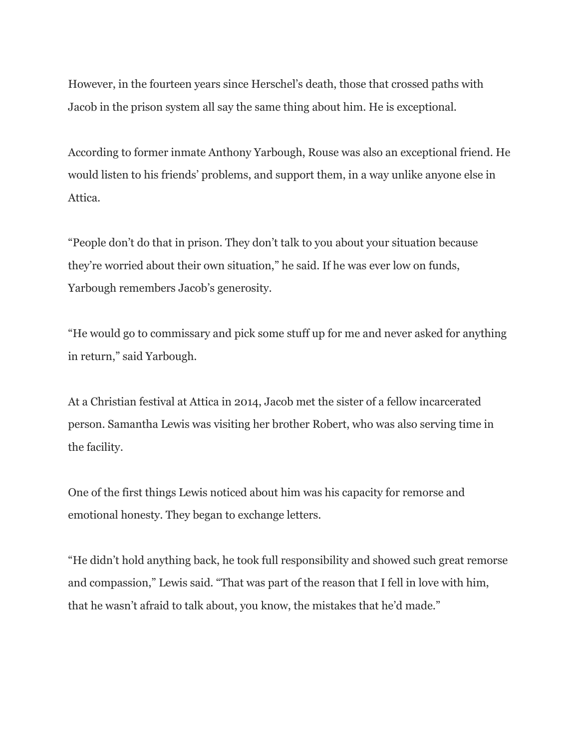However, in the fourteen years since Herschel's death, those that crossed paths with Jacob in the prison system all say the same thing about him. He is exceptional.

According to former inmate Anthony Yarbough, Rouse was also an exceptional friend. He would listen to his friends' problems, and support them, in a way unlike anyone else in Attica.

"People don't do that in prison. They don't talk to you about your situation because they're worried about their own situation," he said. If he was ever low on funds, Yarbough remembers Jacob's generosity.

"He would go to commissary and pick some stuff up for me and never asked for anything in return," said Yarbough.

At a Christian festival at Attica in 2014, Jacob met the sister of a fellow incarcerated person. Samantha Lewis was visiting her brother Robert, who was also serving time in the facility.

One of the first things Lewis noticed about him was his capacity for remorse and emotional honesty. They began to exchange letters.

"He didn't hold anything back, he took full responsibility and showed such great remorse and compassion," Lewis said. "That was part of the reason that I fell in love with him, that he wasn't afraid to talk about, you know, the mistakes that he'd made."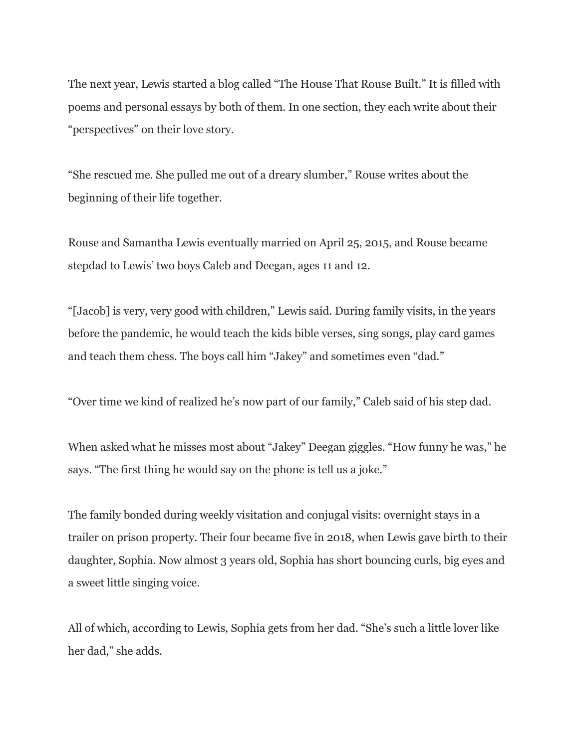The next year, Lewis started a blog called "The House That Rouse Built." It is filled with poems and personal essays by both of them. In one section, they each write about their "perspectives" on their love story.

"She rescued me. She pulled me out of a dreary slumber," Rouse writes about the beginning of their life together.

Rouse and Samantha Lewis eventually married on April 25, 2015, and Rouse became stepdad to Lewis' two boys Caleb and Deegan, ages 11 and 12.

"[Jacob] is very, very good with children," Lewis said. During family visits, in the years before the pandemic, he would teach the kids bible verses, sing songs, play card games and teach them chess. The boys call him "Jakey" and sometimes even "dad."

"Over time we kind of realized he's now part of our family," Caleb said of his step dad.

When asked what he misses most about "Jakey" Deegan giggles. "How funny he was," he says. "The first thing he would say on the phone is tell us a joke."

The family bonded during weekly visitation and conjugal visits: overnight stays in a trailer on prison property. Their four became five in 2018, when Lewis gave birth to their daughter, Sophia. Now almost 3 years old, Sophia has short bouncing curls, big eyes and a sweet little singing voice.

All of which, according to Lewis, Sophia gets from her dad. "She's such a little lover like her dad," she adds.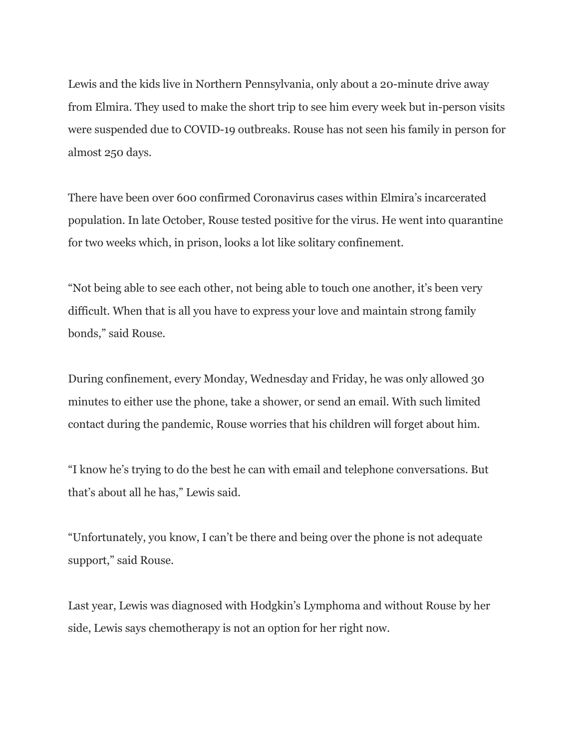Lewis and the kids live in Northern Pennsylvania, only about a 20-minute drive away from Elmira. They used to make the short trip to see him every week but in-person visits were suspended due to COVID-19 outbreaks. Rouse has not seen his family in person for almost 250 days.

There have been over 600 confirmed Coronavirus cases within Elmira's incarcerated population. In late October, Rouse tested positive for the virus. He went into quarantine for two weeks which, in prison, looks a lot like solitary confinement.

"Not being able to see each other, not being able to touch one another, it's been very difficult. When that is all you have to express your love and maintain strong family bonds," said Rouse.

During confinement, every Monday, Wednesday and Friday, he was only allowed 30 minutes to either use the phone, take a shower, or send an email. With such limited contact during the pandemic, Rouse worries that his children will forget about him.

"I know he's trying to do the best he can with email and telephone conversations. But that's about all he has," Lewis said.

"Unfortunately, you know, I can't be there and being over the phone is not adequate support," said Rouse.

Last year, Lewis was diagnosed with Hodgkin's Lymphoma and without Rouse by her side, Lewis says chemotherapy is not an option for her right now.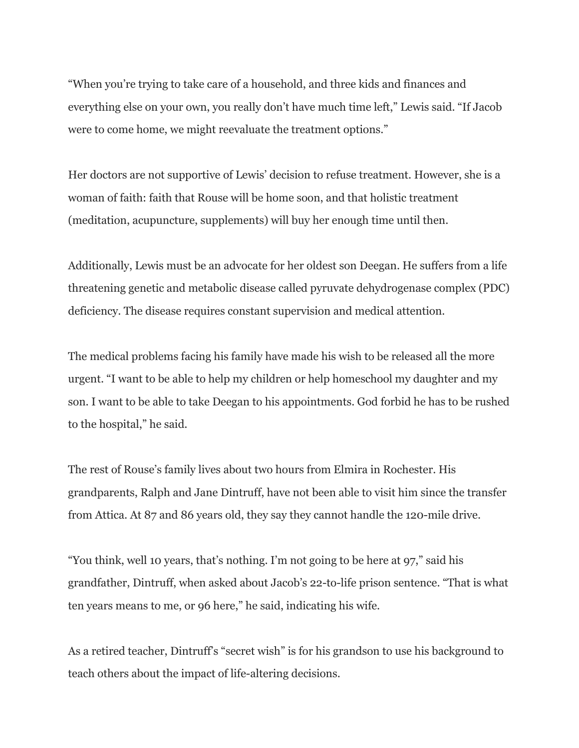"When you're trying to take care of a household, and three kids and finances and everything else on your own, you really don't have much time left," Lewis said. "If Jacob were to come home, we might reevaluate the treatment options."

Her doctors are not supportive of Lewis' decision to refuse treatment. However, she is a woman of faith: faith that Rouse will be home soon, and that holistic treatment (meditation, acupuncture, supplements) will buy her enough time until then.

Additionally, Lewis must be an advocate for her oldest son Deegan. He suffers from a life threatening genetic and metabolic disease called pyruvate dehydrogenase complex (PDC) deficiency. The disease requires constant supervision and medical attention.

The medical problems facing his family have made his wish to be released all the more urgent. "I want to be able to help my children or help homeschool my daughter and my son. I want to be able to take Deegan to his appointments. God forbid he has to be rushed to the hospital," he said.

The rest of Rouse's family lives about two hours from Elmira in Rochester. His grandparents, Ralph and Jane Dintruff, have not been able to visit him since the transfer from Attica. At 87 and 86 years old, they say they cannot handle the 120-mile drive.

"You think, well 10 years, that's nothing. I'm not going to be here at 97," said his grandfather, Dintruff, when asked about Jacob's 22-to-life prison sentence. "That is what ten years means to me, or 96 here," he said, indicating his wife.

As a retired teacher, Dintruff's "secret wish" is for his grandson to use his background to teach others about the impact of life-altering decisions.